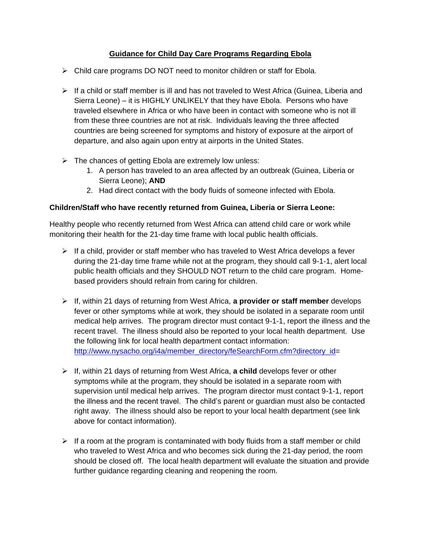### **Guidance for Child Day Care Programs Regarding Ebola**

- $\triangleright$  Child care programs DO NOT need to monitor children or staff for Ebola.
- $\triangleright$  If a child or staff member is ill and has not traveled to West Africa (Guinea, Liberia and Sierra Leone) – it is HIGHLY UNLIKELY that they have Ebola. Persons who have traveled elsewhere in Africa or who have been in contact with someone who is not ill from these three countries are not at risk. Individuals leaving the three affected countries are being screened for symptoms and history of exposure at the airport of departure, and also again upon entry at airports in the United States.
- $\triangleright$  The chances of getting Ebola are extremely low unless:
	- 1. A person has traveled to an area affected by an outbreak (Guinea, Liberia or Sierra Leone); **AND**
	- 2. Had direct contact with the body fluids of someone infected with Ebola.

### **Children/Staff who have recently returned from Guinea, Liberia or Sierra Leone:**

Healthy people who recently returned from West Africa can attend child care or work while monitoring their health for the 21-day time frame with local public health officials.

- $\triangleright$  If a child, provider or staff member who has traveled to West Africa develops a fever during the 21-day time frame while not at the program, they should call 9-1-1, alert local public health officials and they SHOULD NOT return to the child care program. Homebased providers should refrain from caring for children.
- If, within 21 days of returning from West Africa, **a provider or staff member** develops fever or other symptoms while at work, they should be isolated in a separate room until medical help arrives. The program director must contact 9-1-1, report the illness and the recent travel. The illness should also be reported to your local health department. Use the following link for local health department contact information: [http://www.nysacho.org/i4a/member\\_directory/feSearchForm.cfm?directory\\_id=](http://www.nysacho.org/i4a/member_directory/feSearchForm.cfm?directory_id)
- If, within 21 days of returning from West Africa, **a child** develops fever or other symptoms while at the program, they should be isolated in a separate room with supervision until medical help arrives. The program director must contact 9-1-1, report the illness and the recent travel. The child's parent or guardian must also be contacted right away. The illness should also be report to your local health department (see link above for contact information).
- $\triangleright$  If a room at the program is contaminated with body fluids from a staff member or child who traveled to West Africa and who becomes sick during the 21-day period, the room should be closed off. The local health department will evaluate the situation and provide further guidance regarding cleaning and reopening the room.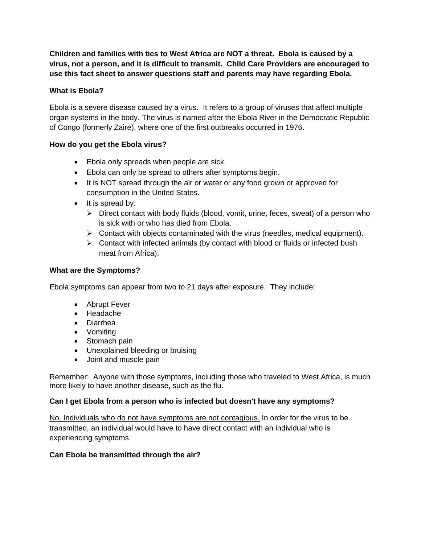**Children and families with ties to West Africa are NOT a threat. Ebola is caused by a virus, not a person, and it is difficult to transmit. Child Care Providers are encouraged to use this fact sheet to answer questions staff and parents may have regarding Ebola.**

### **What is Ebola?**

Ebola is a severe disease caused by a virus. It refers to a group of viruses that affect multiple organ systems in the body. The virus is named after the Ebola River in the Democratic Republic of Congo (formerly Zaire), where one of the first outbreaks occurred in 1976.

### **How do you get the Ebola virus?**

- Ebola only spreads when people are sick.
- Ebola can only be spread to others after symptoms begin.
- It is NOT spread through the air or water or any food grown or approved for consumption in the United States.
- $\bullet$  It is spread by:
	- $\triangleright$  Direct contact with body fluids (blood, vomit, urine, feces, sweat) of a person who is sick with or who has died from Ebola.
	- $\triangleright$  Contact with objects contaminated with the virus (needles, medical equipment).
	- $\triangleright$  Contact with infected animals (by contact with blood or fluids or infected bush meat from Africa).

### **What are the Symptoms?**

Ebola symptoms can appear from two to 21 days after exposure. They include:

- Abrupt Fever
- Headache
- Diarrhea
- Vomiting
- Stomach pain
- Unexplained bleeding or bruising
- Joint and muscle pain

Remember: Anyone with those symptoms, including those who traveled to West Africa, is much more likely to have another disease, such as the flu.

### **Can I get Ebola from a person who is infected but doesn't have any symptoms?**

No. Individuals who do not have symptoms are not contagious. In order for the virus to be transmitted, an individual would have to have direct contact with an individual who is experiencing symptoms.

### **Can Ebola be transmitted through the air?**